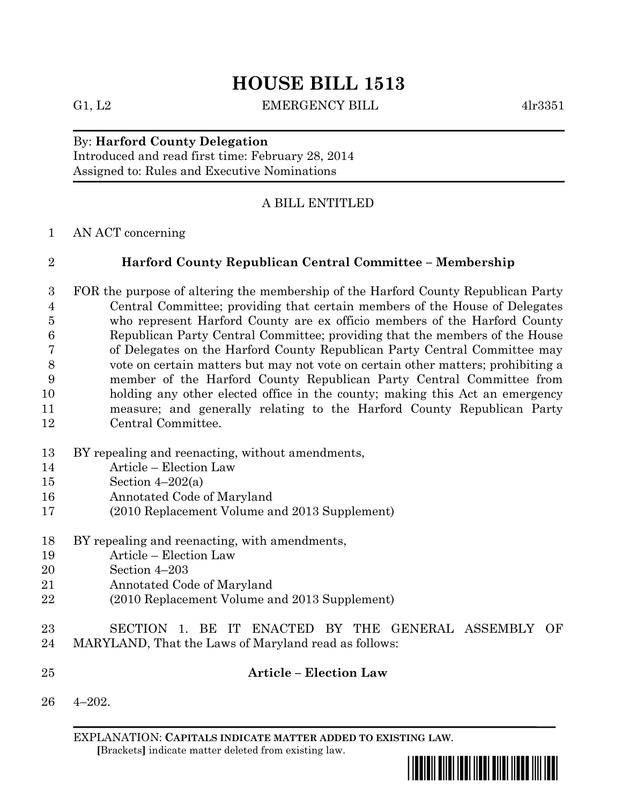G1, L2 EMERGENCY BILL 4lr3351

## By: **Harford County Delegation**

Introduced and read first time: February 28, 2014 Assigned to: Rules and Executive Nominations

## A BILL ENTITLED

AN ACT concerning

## **Harford County Republican Central Committee – Membership**

- FOR the purpose of altering the membership of the Harford County Republican Party Central Committee; providing that certain members of the House of Delegates who represent Harford County are ex officio members of the Harford County Republican Party Central Committee; providing that the members of the House of Delegates on the Harford County Republican Party Central Committee may vote on certain matters but may not vote on certain other matters; prohibiting a member of the Harford County Republican Party Central Committee from holding any other elected office in the county; making this Act an emergency measure; and generally relating to the Harford County Republican Party Central Committee.
- BY repealing and reenacting, without amendments,
- Article Election Law
- Section 4–202(a)
- Annotated Code of Maryland
- (2010 Replacement Volume and 2013 Supplement)
- BY repealing and reenacting, with amendments,
- Article Election Law
- Section 4–203
- Annotated Code of Maryland
- (2010 Replacement Volume and 2013 Supplement)
- SECTION 1. BE IT ENACTED BY THE GENERAL ASSEMBLY OF MARYLAND, That the Laws of Maryland read as follows:
- **Article – Election Law**
- 4–202.

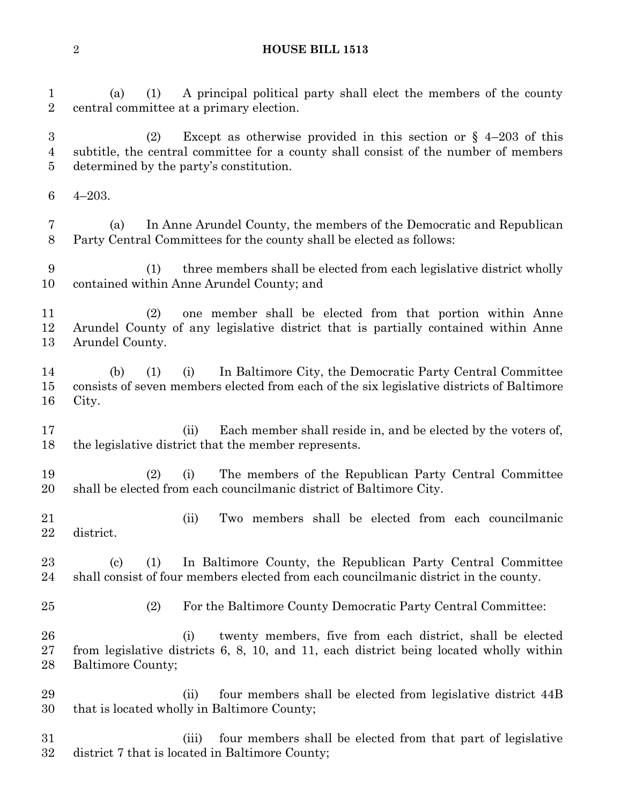(a) (1) A principal political party shall elect the members of the county central committee at a primary election. (2) Except as otherwise provided in this section or § 4–203 of this subtitle, the central committee for a county shall consist of the number of members determined by the party's constitution. 4–203. (a) In Anne Arundel County, the members of the Democratic and Republican Party Central Committees for the county shall be elected as follows: (1) three members shall be elected from each legislative district wholly contained within Anne Arundel County; and (2) one member shall be elected from that portion within Anne Arundel County of any legislative district that is partially contained within Anne Arundel County. (b) (1) (i) In Baltimore City, the Democratic Party Central Committee consists of seven members elected from each of the six legislative districts of Baltimore City. 17 (ii) Each member shall reside in, and be elected by the voters of, the legislative district that the member represents. (2) (i) The members of the Republican Party Central Committee shall be elected from each councilmanic district of Baltimore City. (ii) Two members shall be elected from each councilmanic district. (c) (1) In Baltimore County, the Republican Party Central Committee shall consist of four members elected from each councilmanic district in the county. (2) For the Baltimore County Democratic Party Central Committee: (i) twenty members, five from each district, shall be elected from legislative districts 6, 8, 10, and 11, each district being located wholly within Baltimore County; (ii) four members shall be elected from legislative district 44B that is located wholly in Baltimore County; (iii) four members shall be elected from that part of legislative district 7 that is located in Baltimore County;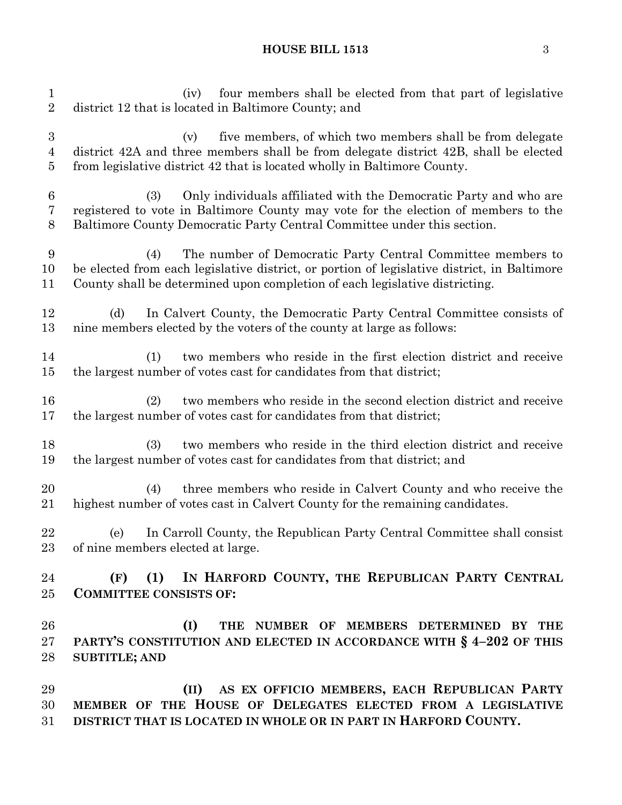### **HOUSE BILL 1513** 3

 (iv) four members shall be elected from that part of legislative district 12 that is located in Baltimore County; and (v) five members, of which two members shall be from delegate district 42A and three members shall be from delegate district 42B, shall be elected from legislative district 42 that is located wholly in Baltimore County. (3) Only individuals affiliated with the Democratic Party and who are registered to vote in Baltimore County may vote for the election of members to the Baltimore County Democratic Party Central Committee under this section. (4) The number of Democratic Party Central Committee members to be elected from each legislative district, or portion of legislative district, in Baltimore County shall be determined upon completion of each legislative districting. (d) In Calvert County, the Democratic Party Central Committee consists of nine members elected by the voters of the county at large as follows: (1) two members who reside in the first election district and receive the largest number of votes cast for candidates from that district; (2) two members who reside in the second election district and receive the largest number of votes cast for candidates from that district; (3) two members who reside in the third election district and receive the largest number of votes cast for candidates from that district; and (4) three members who reside in Calvert County and who receive the highest number of votes cast in Calvert County for the remaining candidates. (e) In Carroll County, the Republican Party Central Committee shall consist of nine members elected at large. **(F) (1) IN HARFORD COUNTY, THE REPUBLICAN PARTY CENTRAL COMMITTEE CONSISTS OF: (I) THE NUMBER OF MEMBERS DETERMINED BY THE PARTY'S CONSTITUTION AND ELECTED IN ACCORDANCE WITH § 4–202 OF THIS SUBTITLE; AND (II) AS EX OFFICIO MEMBERS, EACH REPUBLICAN PARTY MEMBER OF THE HOUSE OF DELEGATES ELECTED FROM A LEGISLATIVE DISTRICT THAT IS LOCATED IN WHOLE OR IN PART IN HARFORD COUNTY.**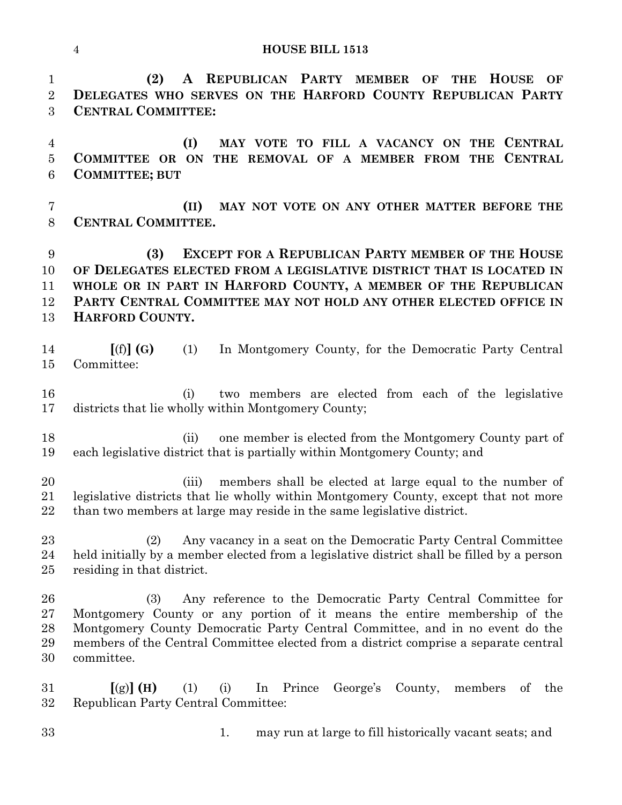**(2) A REPUBLICAN PARTY MEMBER OF THE HOUSE OF DELEGATES WHO SERVES ON THE HARFORD COUNTY REPUBLICAN PARTY CENTRAL COMMITTEE:**

 **(I) MAY VOTE TO FILL A VACANCY ON THE CENTRAL COMMITTEE OR ON THE REMOVAL OF A MEMBER FROM THE CENTRAL COMMITTEE; BUT**

 **(II) MAY NOT VOTE ON ANY OTHER MATTER BEFORE THE CENTRAL COMMITTEE.**

 **(3) EXCEPT FOR A REPUBLICAN PARTY MEMBER OF THE HOUSE OF DELEGATES ELECTED FROM A LEGISLATIVE DISTRICT THAT IS LOCATED IN WHOLE OR IN PART IN HARFORD COUNTY, A MEMBER OF THE REPUBLICAN PARTY CENTRAL COMMITTEE MAY NOT HOLD ANY OTHER ELECTED OFFICE IN HARFORD COUNTY.**

 **[**(f)**] (G)** (1) In Montgomery County, for the Democratic Party Central Committee:

 (i) two members are elected from each of the legislative districts that lie wholly within Montgomery County;

18 (ii) one member is elected from the Montgomery County part of each legislative district that is partially within Montgomery County; and

 (iii) members shall be elected at large equal to the number of legislative districts that lie wholly within Montgomery County, except that not more than two members at large may reside in the same legislative district.

 (2) Any vacancy in a seat on the Democratic Party Central Committee held initially by a member elected from a legislative district shall be filled by a person residing in that district.

 (3) Any reference to the Democratic Party Central Committee for Montgomery County or any portion of it means the entire membership of the Montgomery County Democratic Party Central Committee, and in no event do the members of the Central Committee elected from a district comprise a separate central committee.

 **[**(g)**] (H)** (1) (i) In Prince George's County, members of the Republican Party Central Committee:

1. may run at large to fill historically vacant seats; and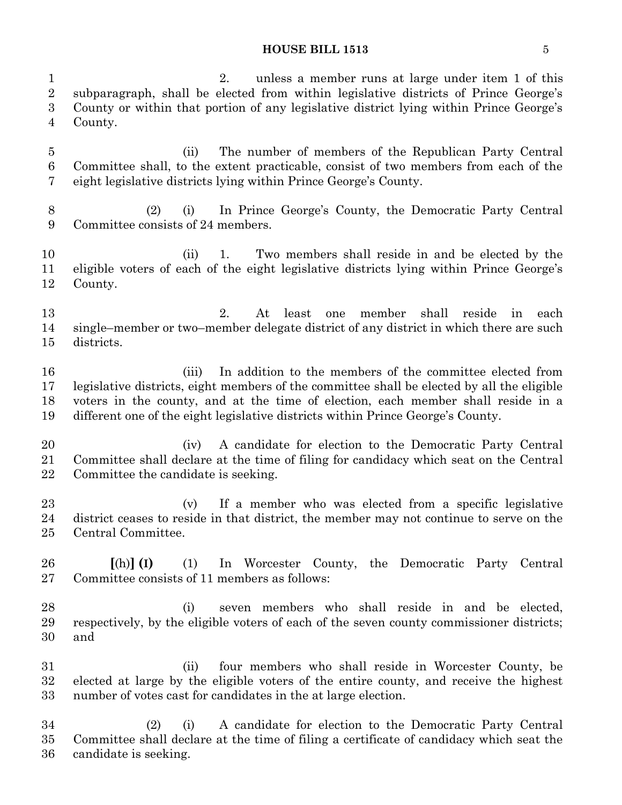#### **HOUSE BILL 1513** 5

 2. unless a member runs at large under item 1 of this subparagraph, shall be elected from within legislative districts of Prince George's County or within that portion of any legislative district lying within Prince George's County. (ii) The number of members of the Republican Party Central Committee shall, to the extent practicable, consist of two members from each of the eight legislative districts lying within Prince George's County. (2) (i) In Prince George's County, the Democratic Party Central Committee consists of 24 members. 10 (ii) 1. Two members shall reside in and be elected by the eligible voters of each of the eight legislative districts lying within Prince George's County. 2. At least one member shall reside in each single–member or two–member delegate district of any district in which there are such districts. (iii) In addition to the members of the committee elected from legislative districts, eight members of the committee shall be elected by all the eligible voters in the county, and at the time of election, each member shall reside in a different one of the eight legislative districts within Prince George's County. (iv) A candidate for election to the Democratic Party Central Committee shall declare at the time of filing for candidacy which seat on the Central Committee the candidate is seeking. (v) If a member who was elected from a specific legislative district ceases to reside in that district, the member may not continue to serve on the Central Committee. **[**(h)**] (I)** (1) In Worcester County, the Democratic Party Central Committee consists of 11 members as follows: (i) seven members who shall reside in and be elected, respectively, by the eligible voters of each of the seven county commissioner districts; and (ii) four members who shall reside in Worcester County, be elected at large by the eligible voters of the entire county, and receive the highest number of votes cast for candidates in the at large election. (2) (i) A candidate for election to the Democratic Party Central Committee shall declare at the time of filing a certificate of candidacy which seat the candidate is seeking.